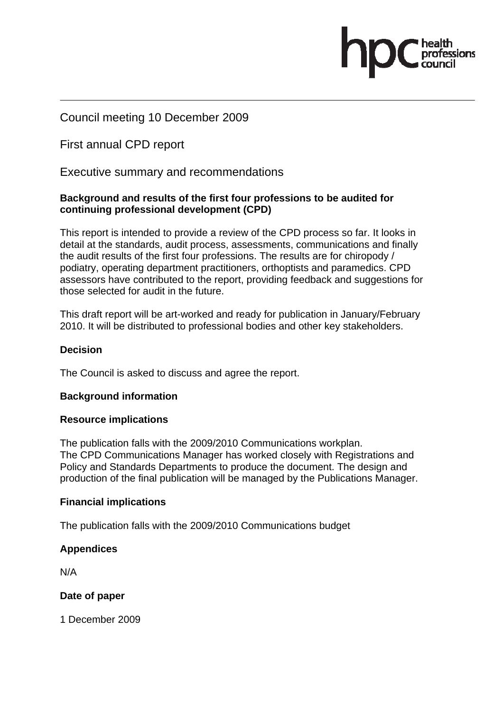## Council meeting 10 December 2009

First annual CPD report

Executive summary and recommendations

#### **Background and results of the first four professions to be audited for continuing professional development (CPD)**

This report is intended to provide a review of the CPD process so far. It looks in detail at the standards, audit process, assessments, communications and finally the audit results of the first four professions. The results are for chiropody / podiatry, operating department practitioners, orthoptists and paramedics. CPD assessors have contributed to the report, providing feedback and suggestions for those selected for audit in the future.

This draft report will be art-worked and ready for publication in January/February 2010. It will be distributed to professional bodies and other key stakeholders.

#### **Decision**

The Council is asked to discuss and agree the report.

#### **Background information**

#### **Resource implications**

The publication falls with the 2009/2010 Communications workplan. The CPD Communications Manager has worked closely with Registrations and Policy and Standards Departments to produce the document. The design and production of the final publication will be managed by the Publications Manager.

#### **Financial implications**

The publication falls with the 2009/2010 Communications budget

#### **Appendices**

N/A

#### **Date of paper**

1 December 2009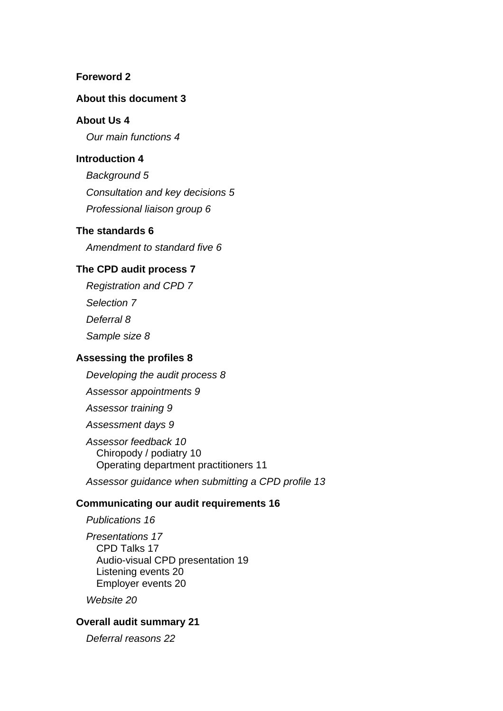#### **Foreword 2**

#### **About this document 3**

#### **About Us 4**

*Our main functions 4*

#### **Introduction 4**

*Background 5 Consultation and key decisions 5 Professional liaison group 6*

#### **The standards 6**

*Amendment to standard five 6*

#### **The CPD audit process 7**

*Registration and CPD 7 Selection 7 Deferral 8 Sample size 8*

#### **Assessing the profiles 8**

*Developing the audit process 8*

*Assessor appointments 9*

*Assessor training 9*

*Assessment days 9*

*Assessor feedback 10* Chiropody / podiatry 10 Operating department practitioners 11

*Assessor guidance when submitting a CPD profile 13*

#### **Communicating our audit requirements 16**

*Publications 16 Presentations 17* CPD Talks 17 Audio-visual CPD presentation 19 Listening events 20 Employer events 20

*Website 20*

#### **Overall audit summary 21**

*Deferral reasons 22*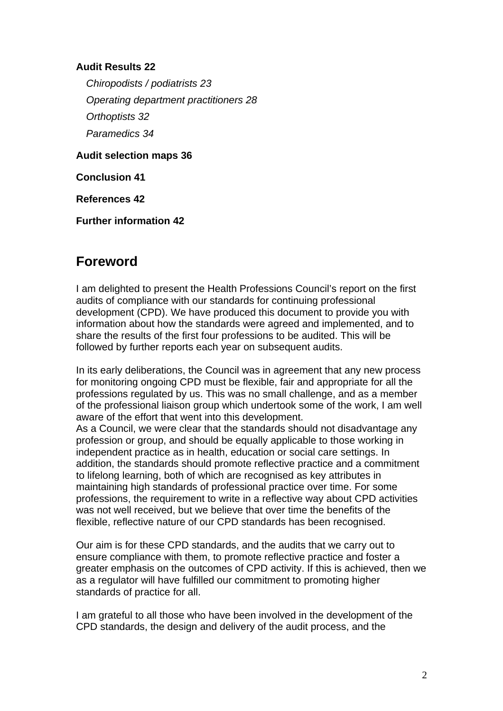#### **Audit Results 22**

*Chiropodists / podiatrists 23 Operating department practitioners 28 Orthoptists 32 Paramedics 34*

**Audit selection maps 36**

**Conclusion 41**

**References 42**

**Further information 42**

# **Foreword**

I am delighted to present the Health Professions Council's report on the first audits of compliance with our standards for continuing professional development (CPD). We have produced this document to provide you with information about how the standards were agreed and implemented, and to share the results of the first four professions to be audited. This will be followed by further reports each year on subsequent audits.

In its early deliberations, the Council was in agreement that any new process for monitoring ongoing CPD must be flexible, fair and appropriate for all the professions regulated by us. This was no small challenge, and as a member of the professional liaison group which undertook some of the work, I am well aware of the effort that went into this development.

As a Council, we were clear that the standards should not disadvantage any profession or group, and should be equally applicable to those working in independent practice as in health, education or social care settings. In addition, the standards should promote reflective practice and a commitment to lifelong learning, both of which are recognised as key attributes in maintaining high standards of professional practice over time. For some professions, the requirement to write in a reflective way about CPD activities was not well received, but we believe that over time the benefits of the flexible, reflective nature of our CPD standards has been recognised.

Our aim is for these CPD standards, and the audits that we carry out to ensure compliance with them, to promote reflective practice and foster a greater emphasis on the outcomes of CPD activity. If this is achieved, then we as a regulator will have fulfilled our commitment to promoting higher standards of practice for all.

I am grateful to all those who have been involved in the development of the CPD standards, the design and delivery of the audit process, and the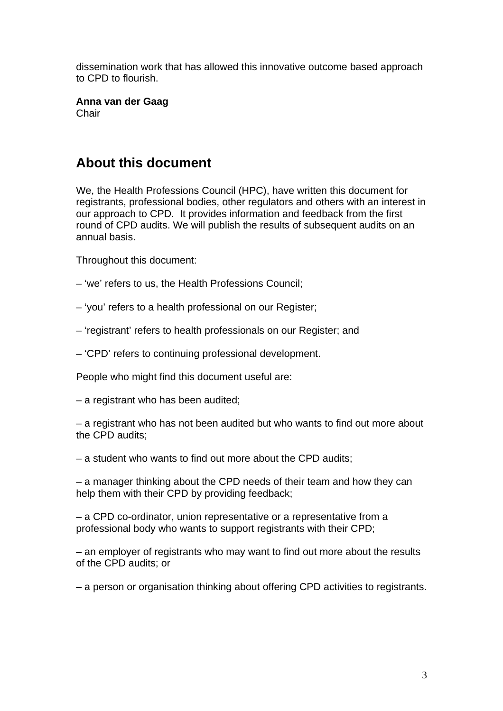dissemination work that has allowed this innovative outcome based approach to CPD to flourish.

**Anna van der Gaag**  Chair

# **About this document**

We, the Health Professions Council (HPC), have written this document for registrants, professional bodies, other regulators and others with an interest in our approach to CPD. It provides information and feedback from the first round of CPD audits. We will publish the results of subsequent audits on an annual basis.

Throughout this document:

- 'we' refers to us, the Health Professions Council;
- 'you' refers to a health professional on our Register;
- 'registrant' refers to health professionals on our Register; and
- 'CPD' refers to continuing professional development.

People who might find this document useful are:

– a registrant who has been audited;

– a registrant who has not been audited but who wants to find out more about the CPD audits;

– a student who wants to find out more about the CPD audits;

– a manager thinking about the CPD needs of their team and how they can help them with their CPD by providing feedback;

– a CPD co-ordinator, union representative or a representative from a professional body who wants to support registrants with their CPD;

– an employer of registrants who may want to find out more about the results of the CPD audits; or

– a person or organisation thinking about offering CPD activities to registrants.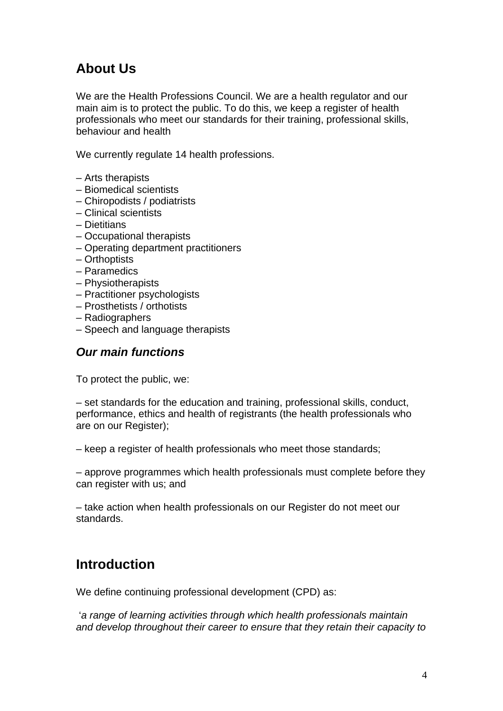# **About Us**

We are the Health Professions Council. We are a health regulator and our main aim is to protect the public. To do this, we keep a register of health professionals who meet our standards for their training, professional skills, behaviour and health

We currently regulate 14 health professions.

- Arts therapists
- Biomedical scientists
- Chiropodists / podiatrists
- Clinical scientists
- Dietitians
- Occupational therapists
- Operating department practitioners
- Orthoptists
- Paramedics
- Physiotherapists
- Practitioner psychologists
- Prosthetists / orthotists
- Radiographers
- Speech and language therapists

#### *Our main functions*

To protect the public, we:

– set standards for the education and training, professional skills, conduct, performance, ethics and health of registrants (the health professionals who are on our Register);

– keep a register of health professionals who meet those standards;

– approve programmes which health professionals must complete before they can register with us; and

– take action when health professionals on our Register do not meet our standards.

# **Introduction**

We define continuing professional development (CPD) as:

 '*a range of learning activities through which health professionals maintain and develop throughout their career to ensure that they retain their capacity to*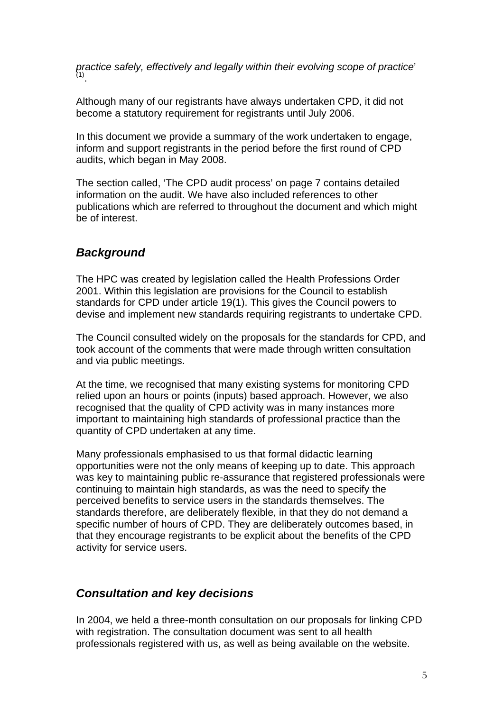*practice safely, effectively and legally within their evolving scope of practice*'  $(1)$ .

Although many of our registrants have always undertaken CPD, it did not become a statutory requirement for registrants until July 2006.

In this document we provide a summary of the work undertaken to engage, inform and support registrants in the period before the first round of CPD audits, which began in May 2008.

The section called, 'The CPD audit process' on page 7 contains detailed information on the audit. We have also included references to other publications which are referred to throughout the document and which might be of interest.

## *Background*

The HPC was created by legislation called the Health Professions Order 2001. Within this legislation are provisions for the Council to establish standards for CPD under article 19(1). This gives the Council powers to devise and implement new standards requiring registrants to undertake CPD.

The Council consulted widely on the proposals for the standards for CPD, and took account of the comments that were made through written consultation and via public meetings.

At the time, we recognised that many existing systems for monitoring CPD relied upon an hours or points (inputs) based approach. However, we also recognised that the quality of CPD activity was in many instances more important to maintaining high standards of professional practice than the quantity of CPD undertaken at any time.

Many professionals emphasised to us that formal didactic learning opportunities were not the only means of keeping up to date. This approach was key to maintaining public re-assurance that registered professionals were continuing to maintain high standards, as was the need to specify the perceived benefits to service users in the standards themselves. The standards therefore, are deliberately flexible, in that they do not demand a specific number of hours of CPD. They are deliberately outcomes based, in that they encourage registrants to be explicit about the benefits of the CPD activity for service users.

#### *Consultation and key decisions*

In 2004, we held a three-month consultation on our proposals for linking CPD with registration. The consultation document was sent to all health professionals registered with us, as well as being available on the website.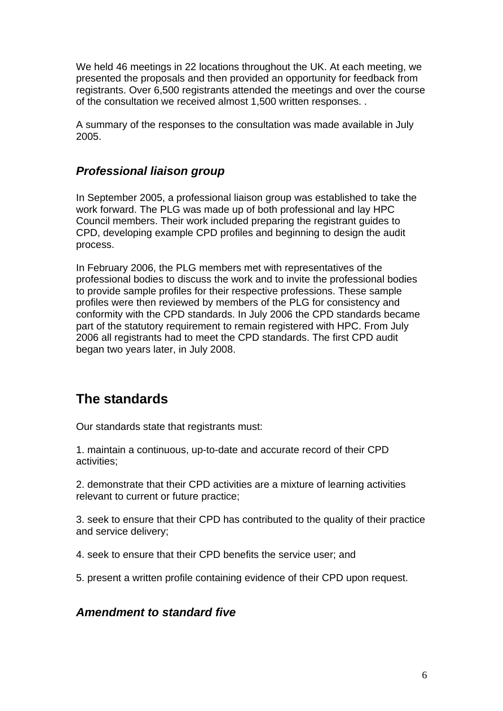We held 46 meetings in 22 locations throughout the UK. At each meeting, we presented the proposals and then provided an opportunity for feedback from registrants. Over 6,500 registrants attended the meetings and over the course of the consultation we received almost 1,500 written responses. .

A summary of the responses to the consultation was made available in July 2005.

## *Professional liaison group*

In September 2005, a professional liaison group was established to take the work forward. The PLG was made up of both professional and lay HPC Council members. Their work included preparing the registrant guides to CPD, developing example CPD profiles and beginning to design the audit process.

In February 2006, the PLG members met with representatives of the professional bodies to discuss the work and to invite the professional bodies to provide sample profiles for their respective professions. These sample profiles were then reviewed by members of the PLG for consistency and conformity with the CPD standards. In July 2006 the CPD standards became part of the statutory requirement to remain registered with HPC. From July 2006 all registrants had to meet the CPD standards. The first CPD audit began two years later, in July 2008.

# **The standards**

Our standards state that registrants must:

1. maintain a continuous, up-to-date and accurate record of their CPD activities;

2. demonstrate that their CPD activities are a mixture of learning activities relevant to current or future practice;

3. seek to ensure that their CPD has contributed to the quality of their practice and service delivery;

4. seek to ensure that their CPD benefits the service user; and

5. present a written profile containing evidence of their CPD upon request.

## *Amendment to standard five*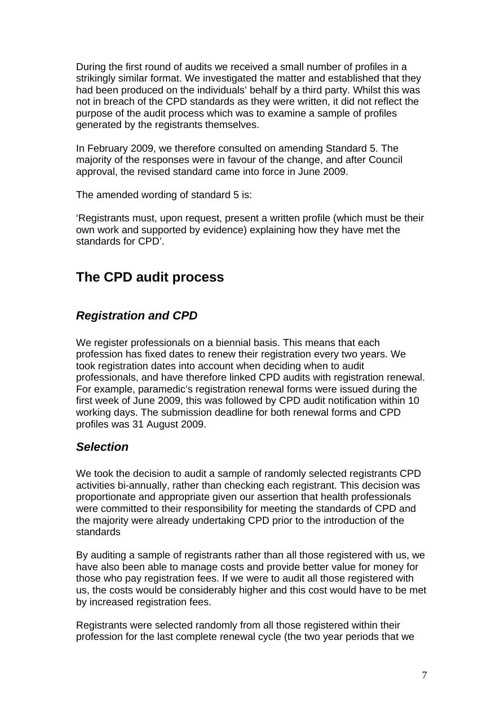During the first round of audits we received a small number of profiles in a strikingly similar format. We investigated the matter and established that they had been produced on the individuals' behalf by a third party. Whilst this was not in breach of the CPD standards as they were written, it did not reflect the purpose of the audit process which was to examine a sample of profiles generated by the registrants themselves.

In February 2009, we therefore consulted on amending Standard 5. The majority of the responses were in favour of the change, and after Council approval, the revised standard came into force in June 2009.

The amended wording of standard 5 is:

'Registrants must, upon request, present a written profile (which must be their own work and supported by evidence) explaining how they have met the standards for CPD'.

# **The CPD audit process**

## *Registration and CPD*

We register professionals on a biennial basis. This means that each profession has fixed dates to renew their registration every two years. We took registration dates into account when deciding when to audit professionals, and have therefore linked CPD audits with registration renewal. For example, paramedic's registration renewal forms were issued during the first week of June 2009, this was followed by CPD audit notification within 10 working days. The submission deadline for both renewal forms and CPD profiles was 31 August 2009.

## *Selection*

We took the decision to audit a sample of randomly selected registrants CPD activities bi-annually, rather than checking each registrant. This decision was proportionate and appropriate given our assertion that health professionals were committed to their responsibility for meeting the standards of CPD and the majority were already undertaking CPD prior to the introduction of the standards

By auditing a sample of registrants rather than all those registered with us, we have also been able to manage costs and provide better value for money for those who pay registration fees. If we were to audit all those registered with us, the costs would be considerably higher and this cost would have to be met by increased registration fees.

Registrants were selected randomly from all those registered within their profession for the last complete renewal cycle (the two year periods that we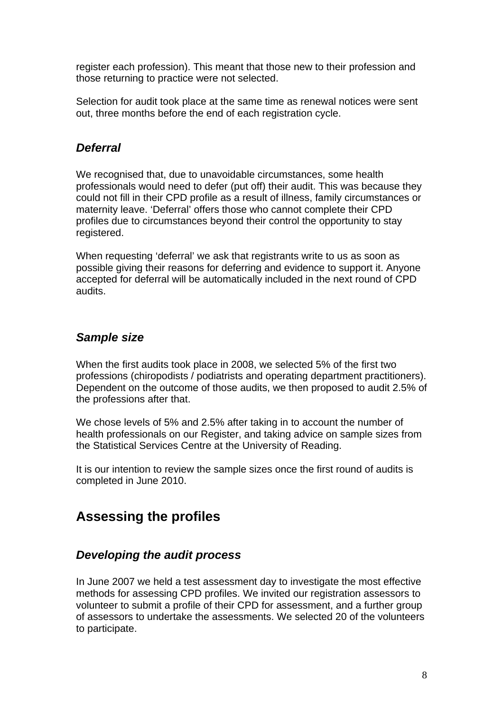register each profession). This meant that those new to their profession and those returning to practice were not selected.

Selection for audit took place at the same time as renewal notices were sent out, three months before the end of each registration cycle.

### *Deferral*

We recognised that, due to unavoidable circumstances, some health professionals would need to defer (put off) their audit. This was because they could not fill in their CPD profile as a result of illness, family circumstances or maternity leave. 'Deferral' offers those who cannot complete their CPD profiles due to circumstances beyond their control the opportunity to stay registered.

When requesting 'deferral' we ask that registrants write to us as soon as possible giving their reasons for deferring and evidence to support it. Anyone accepted for deferral will be automatically included in the next round of CPD audits.

## *Sample size*

When the first audits took place in 2008, we selected 5% of the first two professions (chiropodists / podiatrists and operating department practitioners). Dependent on the outcome of those audits, we then proposed to audit 2.5% of the professions after that.

We chose levels of 5% and 2.5% after taking in to account the number of health professionals on our Register, and taking advice on sample sizes from the Statistical Services Centre at the University of Reading.

It is our intention to review the sample sizes once the first round of audits is completed in June 2010.

# **Assessing the profiles**

#### *Developing the audit process*

In June 2007 we held a test assessment day to investigate the most effective methods for assessing CPD profiles. We invited our registration assessors to volunteer to submit a profile of their CPD for assessment, and a further group of assessors to undertake the assessments. We selected 20 of the volunteers to participate.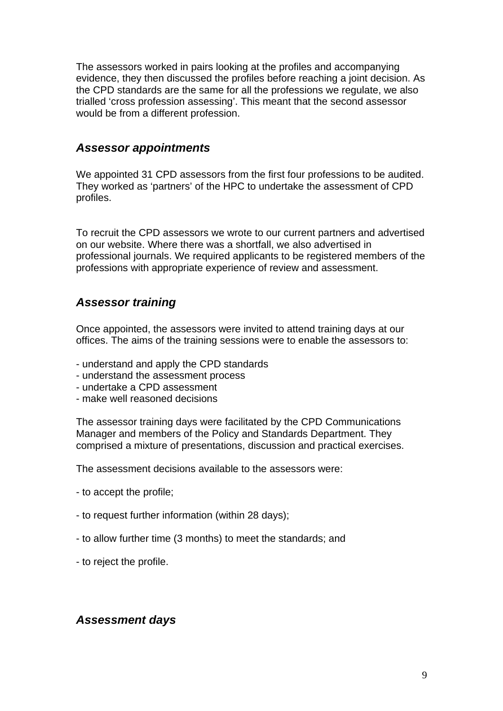The assessors worked in pairs looking at the profiles and accompanying evidence, they then discussed the profiles before reaching a joint decision. As the CPD standards are the same for all the professions we regulate, we also trialled 'cross profession assessing'. This meant that the second assessor would be from a different profession.

#### *Assessor appointments*

We appointed 31 CPD assessors from the first four professions to be audited. They worked as 'partners' of the HPC to undertake the assessment of CPD profiles.

To recruit the CPD assessors we wrote to our current partners and advertised on our website. Where there was a shortfall, we also advertised in professional journals. We required applicants to be registered members of the professions with appropriate experience of review and assessment.

#### *Assessor training*

Once appointed, the assessors were invited to attend training days at our offices. The aims of the training sessions were to enable the assessors to:

- understand and apply the CPD standards
- understand the assessment process
- undertake a CPD assessment
- make well reasoned decisions

The assessor training days were facilitated by the CPD Communications Manager and members of the Policy and Standards Department. They comprised a mixture of presentations, discussion and practical exercises.

The assessment decisions available to the assessors were:

- to accept the profile;
- to request further information (within 28 days);
- to allow further time (3 months) to meet the standards; and
- to reject the profile.

#### *Assessment days*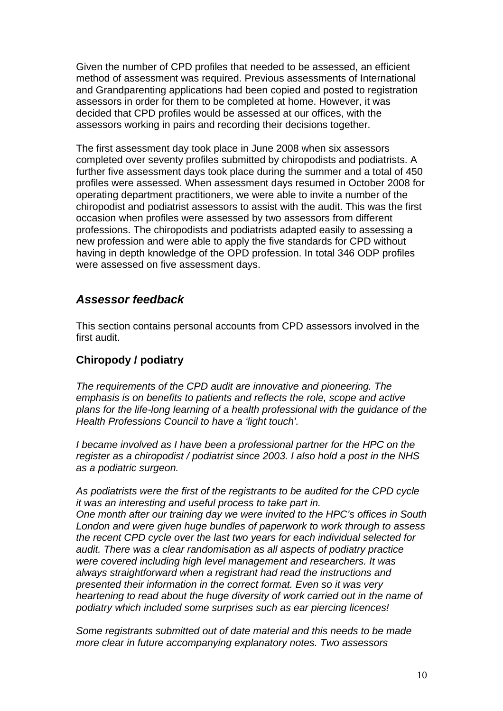Given the number of CPD profiles that needed to be assessed, an efficient method of assessment was required. Previous assessments of International and Grandparenting applications had been copied and posted to registration assessors in order for them to be completed at home. However, it was decided that CPD profiles would be assessed at our offices, with the assessors working in pairs and recording their decisions together.

The first assessment day took place in June 2008 when six assessors completed over seventy profiles submitted by chiropodists and podiatrists. A further five assessment days took place during the summer and a total of 450 profiles were assessed. When assessment days resumed in October 2008 for operating department practitioners, we were able to invite a number of the chiropodist and podiatrist assessors to assist with the audit. This was the first occasion when profiles were assessed by two assessors from different professions. The chiropodists and podiatrists adapted easily to assessing a new profession and were able to apply the five standards for CPD without having in depth knowledge of the OPD profession. In total 346 ODP profiles were assessed on five assessment days.

#### *Assessor feedback*

This section contains personal accounts from CPD assessors involved in the first audit.

## **Chiropody / podiatry**

*The requirements of the CPD audit are innovative and pioneering. The emphasis is on benefits to patients and reflects the role, scope and active plans for the life-long learning of a health professional with the guidance of the Health Professions Council to have a 'light touch'.* 

*I* became involved as *I* have been a professional partner for the HPC on the *register as a chiropodist / podiatrist since 2003. I also hold a post in the NHS as a podiatric surgeon.* 

*As podiatrists were the first of the registrants to be audited for the CPD cycle it was an interesting and useful process to take part in. One month after our training day we were invited to the HPC's offices in South London and were given huge bundles of paperwork to work through to assess the recent CPD cycle over the last two years for each individual selected for audit. There was a clear randomisation as all aspects of podiatry practice were covered including high level management and researchers. It was always straightforward when a registrant had read the instructions and presented their information in the correct format. Even so it was very heartening to read about the huge diversity of work carried out in the name of podiatry which included some surprises such as ear piercing licences!* 

*Some registrants submitted out of date material and this needs to be made more clear in future accompanying explanatory notes. Two assessors*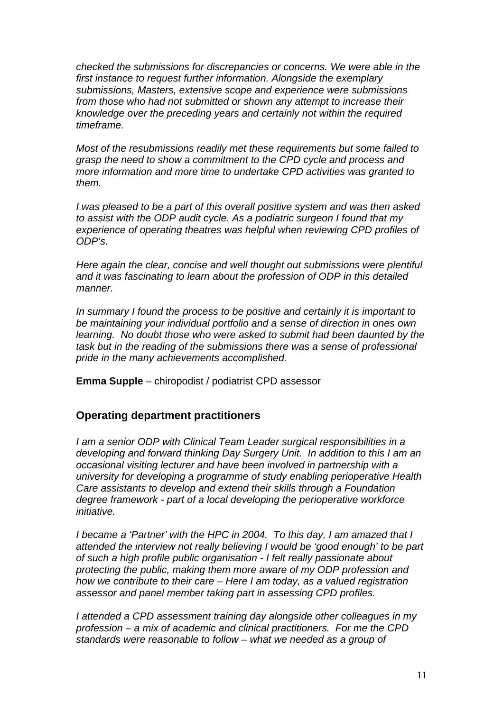*checked the submissions for discrepancies or concerns. We were able in the first instance to request further information. Alongside the exemplary submissions, Masters, extensive scope and experience were submissions from those who had not submitted or shown any attempt to increase their knowledge over the preceding years and certainly not within the required timeframe.* 

*Most of the resubmissions readily met these requirements but some failed to grasp the need to show a commitment to the CPD cycle and process and more information and more time to undertake CPD activities was granted to them.* 

*I was pleased to be a part of this overall positive system and was then asked to assist with the ODP audit cycle. As a podiatric surgeon I found that my experience of operating theatres was helpful when reviewing CPD profiles of ODP's.* 

*Here again the clear, concise and well thought out submissions were plentiful and it was fascinating to learn about the profession of ODP in this detailed manner.* 

*In summary I found the process to be positive and certainly it is important to be maintaining your individual portfolio and a sense of direction in ones own learning. No doubt those who were asked to submit had been daunted by the task but in the reading of the submissions there was a sense of professional pride in the many achievements accomplished.* 

**Emma Supple** – chiropodist / podiatrist CPD assessor

#### **Operating department practitioners**

*I am a senior ODP with Clinical Team Leader surgical responsibilities in a developing and forward thinking Day Surgery Unit. In addition to this I am an occasional visiting lecturer and have been involved in partnership with a university for developing a programme of study enabling perioperative Health Care assistants to develop and extend their skills through a Foundation degree framework - part of a local developing the perioperative workforce initiative.* 

*I became a 'Partner' with the HPC in 2004. To this day, I am amazed that I attended the interview not really believing I would be 'good enough' to be part of such a high profile public organisation - I felt really passionate about protecting the public, making them more aware of my ODP profession and how we contribute to their care – Here I am today, as a valued registration assessor and panel member taking part in assessing CPD profiles.* 

*I attended a CPD assessment training day alongside other colleagues in my profession – a mix of academic and clinical practitioners. For me the CPD standards were reasonable to follow – what we needed as a group of*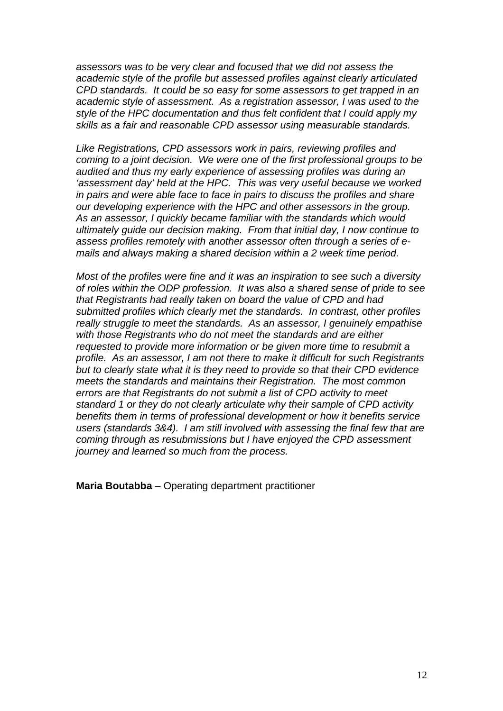*assessors was to be very clear and focused that we did not assess the academic style of the profile but assessed profiles against clearly articulated CPD standards. It could be so easy for some assessors to get trapped in an academic style of assessment. As a registration assessor, I was used to the style of the HPC documentation and thus felt confident that I could apply my skills as a fair and reasonable CPD assessor using measurable standards.* 

*Like Registrations, CPD assessors work in pairs, reviewing profiles and coming to a joint decision. We were one of the first professional groups to be audited and thus my early experience of assessing profiles was during an 'assessment day' held at the HPC. This was very useful because we worked in pairs and were able face to face in pairs to discuss the profiles and share our developing experience with the HPC and other assessors in the group. As an assessor, I quickly became familiar with the standards which would ultimately guide our decision making. From that initial day, I now continue to assess profiles remotely with another assessor often through a series of emails and always making a shared decision within a 2 week time period.* 

*Most of the profiles were fine and it was an inspiration to see such a diversity of roles within the ODP profession. It was also a shared sense of pride to see that Registrants had really taken on board the value of CPD and had submitted profiles which clearly met the standards. In contrast, other profiles really struggle to meet the standards. As an assessor, I genuinely empathise with those Registrants who do not meet the standards and are either requested to provide more information or be given more time to resubmit a profile. As an assessor, I am not there to make it difficult for such Registrants but to clearly state what it is they need to provide so that their CPD evidence meets the standards and maintains their Registration. The most common errors are that Registrants do not submit a list of CPD activity to meet standard 1 or they do not clearly articulate why their sample of CPD activity benefits them in terms of professional development or how it benefits service users (standards 3&4). I am still involved with assessing the final few that are coming through as resubmissions but I have enjoyed the CPD assessment journey and learned so much from the process.* 

**Maria Boutabba** – Operating department practitioner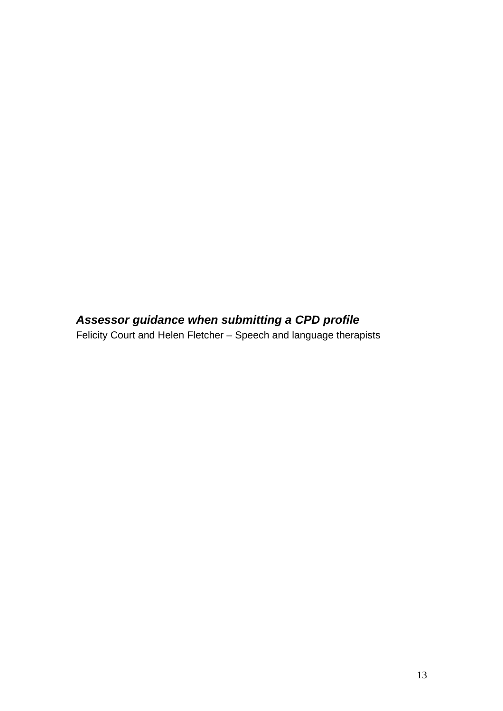# *Assessor guidance when submitting a CPD profile*

Felicity Court and Helen Fletcher – Speech and language therapists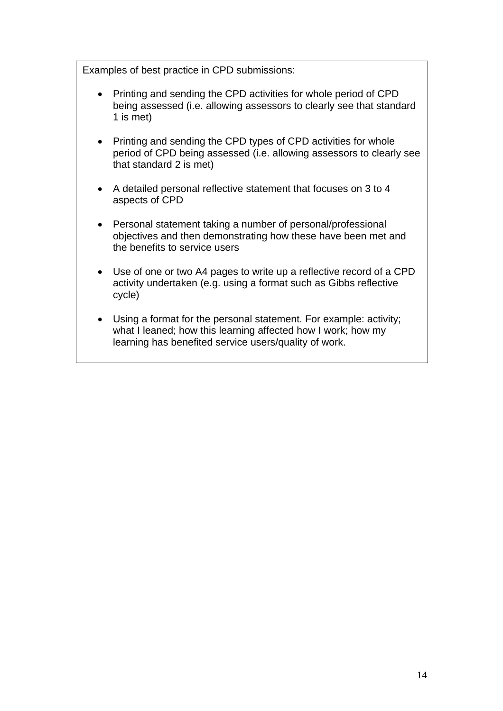Examples of best practice in CPD submissions:

- Printing and sending the CPD activities for whole period of CPD being assessed (i.e. allowing assessors to clearly see that standard 1 is met)
- Printing and sending the CPD types of CPD activities for whole period of CPD being assessed (i.e. allowing assessors to clearly see that standard 2 is met)
- A detailed personal reflective statement that focuses on 3 to 4 aspects of CPD
- Personal statement taking a number of personal/professional objectives and then demonstrating how these have been met and the benefits to service users
- Use of one or two A4 pages to write up a reflective record of a CPD activity undertaken (e.g. using a format such as Gibbs reflective cycle)
- Using a format for the personal statement. For example: activity; what I leaned; how this learning affected how I work; how my learning has benefited service users/quality of work.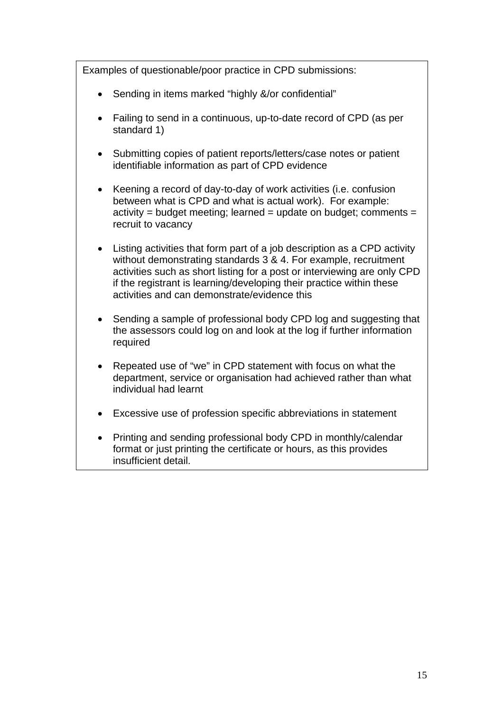| Examples of questionable/poor practice in CPD submissions: |                                                                                                                                                                                                                                                                                                                                                 |  |  |
|------------------------------------------------------------|-------------------------------------------------------------------------------------------------------------------------------------------------------------------------------------------------------------------------------------------------------------------------------------------------------------------------------------------------|--|--|
| $\bullet$                                                  | Sending in items marked "highly &/or confidential"                                                                                                                                                                                                                                                                                              |  |  |
| $\bullet$                                                  | Failing to send in a continuous, up-to-date record of CPD (as per<br>standard 1)                                                                                                                                                                                                                                                                |  |  |
| $\bullet$                                                  | Submitting copies of patient reports/letters/case notes or patient<br>identifiable information as part of CPD evidence                                                                                                                                                                                                                          |  |  |
| $\bullet$                                                  | Keening a record of day-to-day of work activities (i.e. confusion<br>between what is CPD and what is actual work). For example:<br>$activity = budget meeting; learned = update on budget; comments =$<br>recruit to vacancy                                                                                                                    |  |  |
| $\bullet$                                                  | Listing activities that form part of a job description as a CPD activity<br>without demonstrating standards 3 & 4. For example, recruitment<br>activities such as short listing for a post or interviewing are only CPD<br>if the registrant is learning/developing their practice within these<br>activities and can demonstrate/evidence this |  |  |
| $\bullet$                                                  | Sending a sample of professional body CPD log and suggesting that<br>the assessors could log on and look at the log if further information<br>required                                                                                                                                                                                          |  |  |
| $\bullet$                                                  | Repeated use of "we" in CPD statement with focus on what the<br>department, service or organisation had achieved rather than what<br>individual had learnt                                                                                                                                                                                      |  |  |
|                                                            | Excessive use of profession specific abbreviations in statement                                                                                                                                                                                                                                                                                 |  |  |
| $\bullet$                                                  | Printing and sending professional body CPD in monthly/calendar<br>format or just printing the certificate or hours, as this provides<br>insufficient detail.                                                                                                                                                                                    |  |  |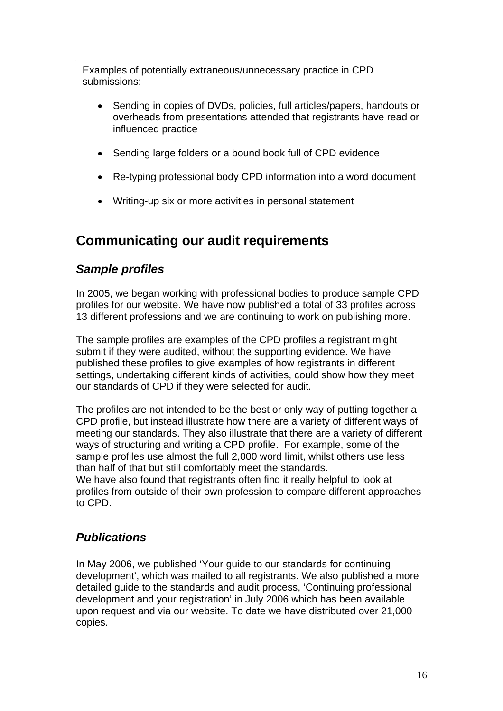Examples of potentially extraneous/unnecessary practice in CPD submissions:

- Sending in copies of DVDs, policies, full articles/papers, handouts or overheads from presentations attended that registrants have read or influenced practice
- Sending large folders or a bound book full of CPD evidence
- Re-typing professional body CPD information into a word document
- Writing-up six or more activities in personal statement

# **Communicating our audit requirements**

## *Sample profiles*

In 2005, we began working with professional bodies to produce sample CPD profiles for our website. We have now published a total of 33 profiles across 13 different professions and we are continuing to work on publishing more.

The sample profiles are examples of the CPD profiles a registrant might submit if they were audited, without the supporting evidence. We have published these profiles to give examples of how registrants in different settings, undertaking different kinds of activities, could show how they meet our standards of CPD if they were selected for audit.

The profiles are not intended to be the best or only way of putting together a CPD profile, but instead illustrate how there are a variety of different ways of meeting our standards. They also illustrate that there are a variety of different ways of structuring and writing a CPD profile. For example, some of the sample profiles use almost the full 2,000 word limit, whilst others use less than half of that but still comfortably meet the standards.

We have also found that registrants often find it really helpful to look at profiles from outside of their own profession to compare different approaches to CPD.

## *Publications*

In May 2006, we published 'Your guide to our standards for continuing development', which was mailed to all registrants. We also published a more detailed guide to the standards and audit process, 'Continuing professional development and your registration' in July 2006 which has been available upon request and via our website. To date we have distributed over 21,000 copies.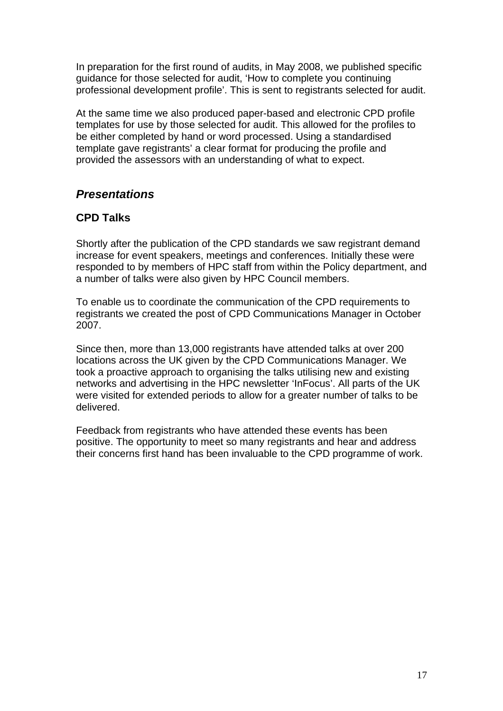In preparation for the first round of audits, in May 2008, we published specific guidance for those selected for audit, 'How to complete you continuing professional development profile'. This is sent to registrants selected for audit.

At the same time we also produced paper-based and electronic CPD profile templates for use by those selected for audit. This allowed for the profiles to be either completed by hand or word processed. Using a standardised template gave registrants' a clear format for producing the profile and provided the assessors with an understanding of what to expect.

## *Presentations*

#### **CPD Talks**

Shortly after the publication of the CPD standards we saw registrant demand increase for event speakers, meetings and conferences. Initially these were responded to by members of HPC staff from within the Policy department, and a number of talks were also given by HPC Council members.

To enable us to coordinate the communication of the CPD requirements to registrants we created the post of CPD Communications Manager in October 2007.

Since then, more than 13,000 registrants have attended talks at over 200 locations across the UK given by the CPD Communications Manager. We took a proactive approach to organising the talks utilising new and existing networks and advertising in the HPC newsletter 'InFocus'. All parts of the UK were visited for extended periods to allow for a greater number of talks to be delivered.

Feedback from registrants who have attended these events has been positive. The opportunity to meet so many registrants and hear and address their concerns first hand has been invaluable to the CPD programme of work.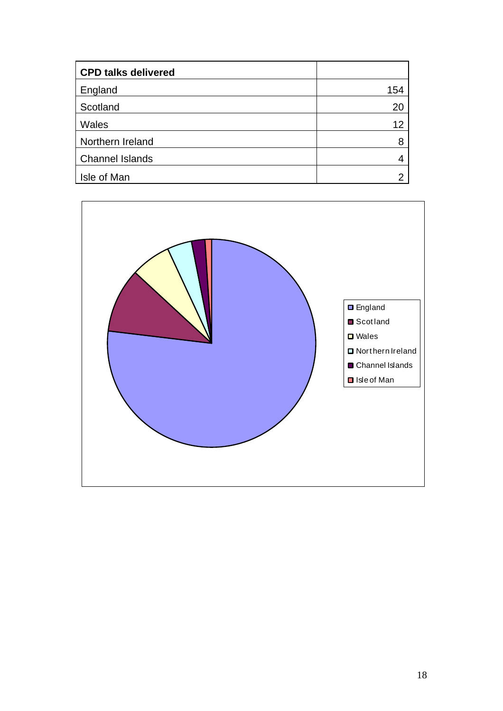| <b>CPD talks delivered</b> |     |
|----------------------------|-----|
| England                    | 154 |
| Scotland                   | 20  |
| Wales                      | 12  |
| Northern Ireland           | 8   |
| <b>Channel Islands</b>     |     |
| Isle of Man                |     |

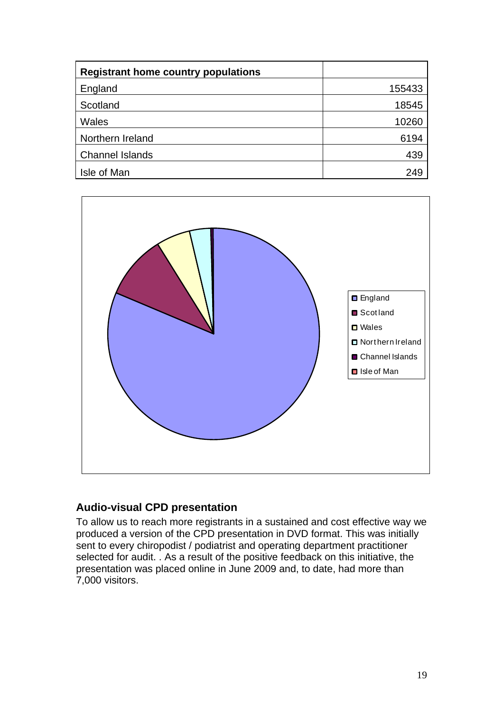| <b>Registrant home country populations</b> |        |
|--------------------------------------------|--------|
| England                                    | 155433 |
| Scotland                                   | 18545  |
| Wales                                      | 10260  |
| Northern Ireland                           | 6194   |
| <b>Channel Islands</b>                     | 439    |
| Isle of Man                                | 249    |



### **Audio-visual CPD presentation**

To allow us to reach more registrants in a sustained and cost effective way we produced a version of the CPD presentation in DVD format. This was initially sent to every chiropodist / podiatrist and operating department practitioner selected for audit. . As a result of the positive feedback on this initiative, the presentation was placed online in June 2009 and, to date, had more than 7,000 visitors.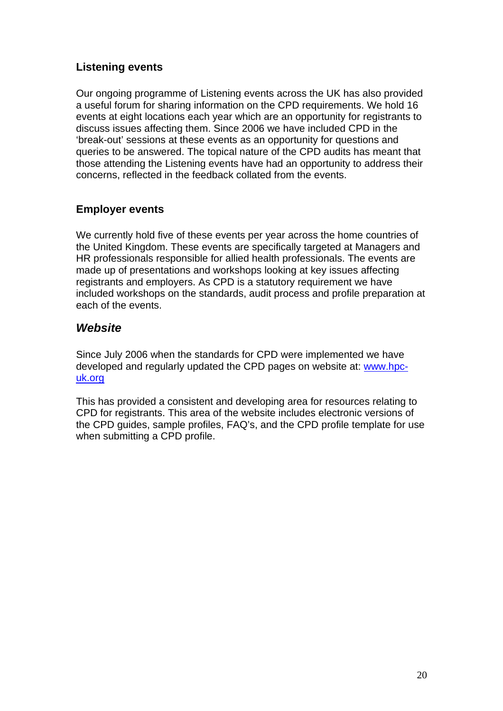## **Listening events**

Our ongoing programme of Listening events across the UK has also provided a useful forum for sharing information on the CPD requirements. We hold 16 events at eight locations each year which are an opportunity for registrants to discuss issues affecting them. Since 2006 we have included CPD in the 'break-out' sessions at these events as an opportunity for questions and queries to be answered. The topical nature of the CPD audits has meant that those attending the Listening events have had an opportunity to address their concerns, reflected in the feedback collated from the events.

#### **Employer events**

We currently hold five of these events per year across the home countries of the United Kingdom. These events are specifically targeted at Managers and HR professionals responsible for allied health professionals. The events are made up of presentations and workshops looking at key issues affecting registrants and employers. As CPD is a statutory requirement we have included workshops on the standards, audit process and profile preparation at each of the events.

## *Website*

Since July 2006 when the standards for CPD were implemented we have developed and regularly updated the CPD pages on website at: www.hpcuk.org

This has provided a consistent and developing area for resources relating to CPD for registrants. This area of the website includes electronic versions of the CPD guides, sample profiles, FAQ's, and the CPD profile template for use when submitting a CPD profile.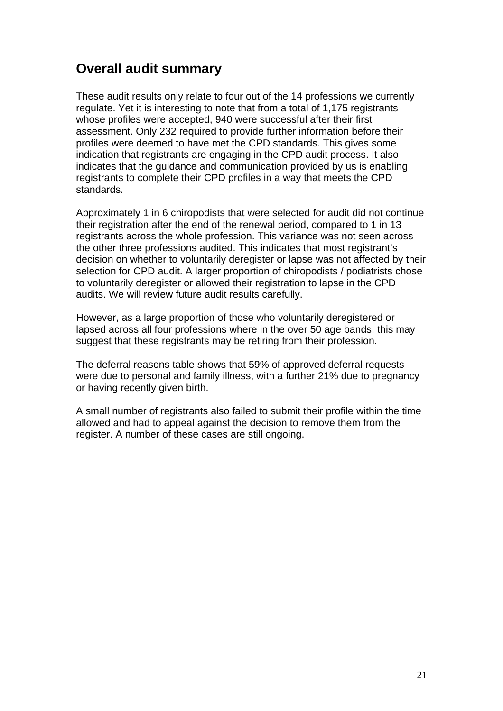# **Overall audit summary**

These audit results only relate to four out of the 14 professions we currently regulate. Yet it is interesting to note that from a total of 1,175 registrants whose profiles were accepted, 940 were successful after their first assessment. Only 232 required to provide further information before their profiles were deemed to have met the CPD standards. This gives some indication that registrants are engaging in the CPD audit process. It also indicates that the guidance and communication provided by us is enabling registrants to complete their CPD profiles in a way that meets the CPD standards.

Approximately 1 in 6 chiropodists that were selected for audit did not continue their registration after the end of the renewal period, compared to 1 in 13 registrants across the whole profession. This variance was not seen across the other three professions audited. This indicates that most registrant's decision on whether to voluntarily deregister or lapse was not affected by their selection for CPD audit. A larger proportion of chiropodists / podiatrists chose to voluntarily deregister or allowed their registration to lapse in the CPD audits. We will review future audit results carefully.

However, as a large proportion of those who voluntarily deregistered or lapsed across all four professions where in the over 50 age bands, this may suggest that these registrants may be retiring from their profession.

The deferral reasons table shows that 59% of approved deferral requests were due to personal and family illness, with a further 21% due to pregnancy or having recently given birth.

A small number of registrants also failed to submit their profile within the time allowed and had to appeal against the decision to remove them from the register. A number of these cases are still ongoing.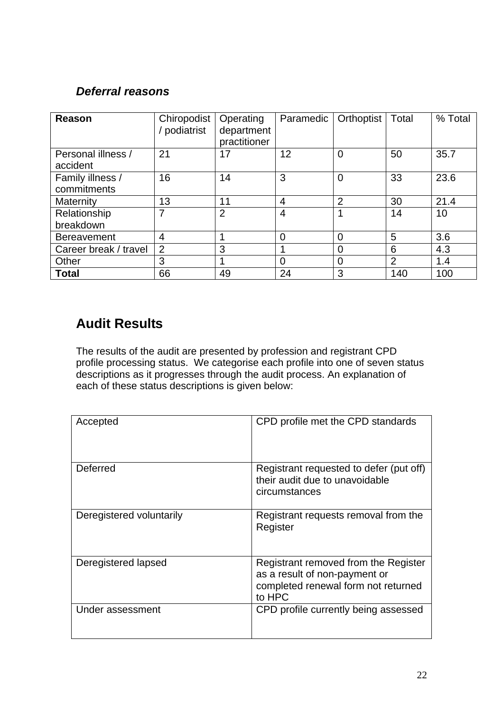## *Deferral reasons*

| Reason                          | Chiropodist<br>podiatrist | Operating<br>department<br>practitioner | Paramedic      | Orthoptist     | Total | % Total |
|---------------------------------|---------------------------|-----------------------------------------|----------------|----------------|-------|---------|
| Personal illness /<br>accident  | 21                        | 17                                      | 12             | $\overline{0}$ | 50    | 35.7    |
| Family illness /<br>commitments | 16                        | 14                                      | 3              | $\overline{0}$ | 33    | 23.6    |
| Maternity                       | 13                        | 11                                      | 4              | $\overline{2}$ | 30    | 21.4    |
| Relationship<br>breakdown       | 7                         | $\overline{2}$                          | $\overline{4}$ |                | 14    | 10      |
| <b>Bereavement</b>              | 4                         |                                         | $\Omega$       | $\Omega$       | 5     | 3.6     |
| Career break / travel           | $\overline{2}$            | 3                                       |                | 0              | 6     | 4.3     |
| Other                           | 3                         |                                         | $\Omega$       | $\overline{0}$ | 2     | 1.4     |
| <b>Total</b>                    | 66                        | 49                                      | 24             | 3              | 140   | 100     |

# **Audit Results**

The results of the audit are presented by profession and registrant CPD profile processing status. We categorise each profile into one of seven status descriptions as it progresses through the audit process. An explanation of each of these status descriptions is given below:

| Accepted                 | CPD profile met the CPD standards                                                                                      |
|--------------------------|------------------------------------------------------------------------------------------------------------------------|
| Deferred                 | Registrant requested to defer (put off)<br>their audit due to unavoidable<br>circumstances                             |
| Deregistered voluntarily | Registrant requests removal from the<br>Register                                                                       |
| Deregistered lapsed      | Registrant removed from the Register<br>as a result of non-payment or<br>completed renewal form not returned<br>to HPC |
| Under assessment         | CPD profile currently being assessed                                                                                   |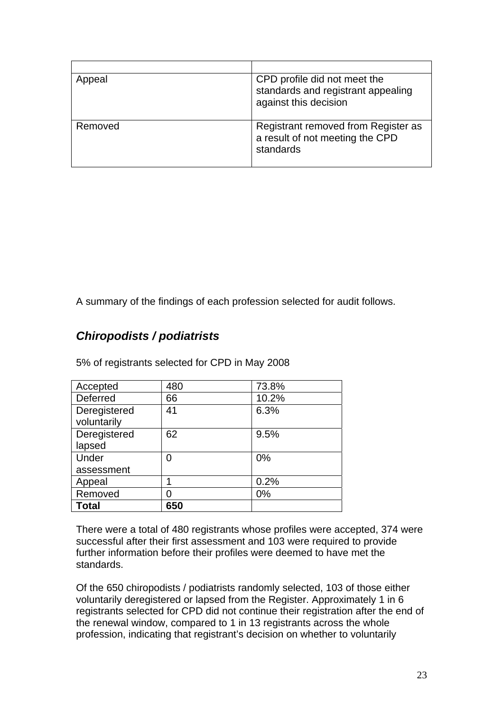| Appeal  | CPD profile did not meet the<br>standards and registrant appealing<br>against this decision |
|---------|---------------------------------------------------------------------------------------------|
| Removed | Registrant removed from Register as<br>a result of not meeting the CPD<br>standards         |

A summary of the findings of each profession selected for audit follows.

## *Chiropodists / podiatrists*

| Accepted                    | 480 | 73.8% |
|-----------------------------|-----|-------|
| Deferred                    | 66  | 10.2% |
| Deregistered<br>voluntarily | 41  | 6.3%  |
| Deregistered<br>lapsed      | 62  | 9.5%  |
| Under                       | 0   | 0%    |
| assessment                  |     |       |
| Appeal                      |     | 0.2%  |
| Removed                     |     | 0%    |
| Total                       | 650 |       |

5% of registrants selected for CPD in May 2008

There were a total of 480 registrants whose profiles were accepted, 374 were successful after their first assessment and 103 were required to provide further information before their profiles were deemed to have met the standards.

Of the 650 chiropodists / podiatrists randomly selected, 103 of those either voluntarily deregistered or lapsed from the Register. Approximately 1 in 6 registrants selected for CPD did not continue their registration after the end of the renewal window, compared to 1 in 13 registrants across the whole profession, indicating that registrant's decision on whether to voluntarily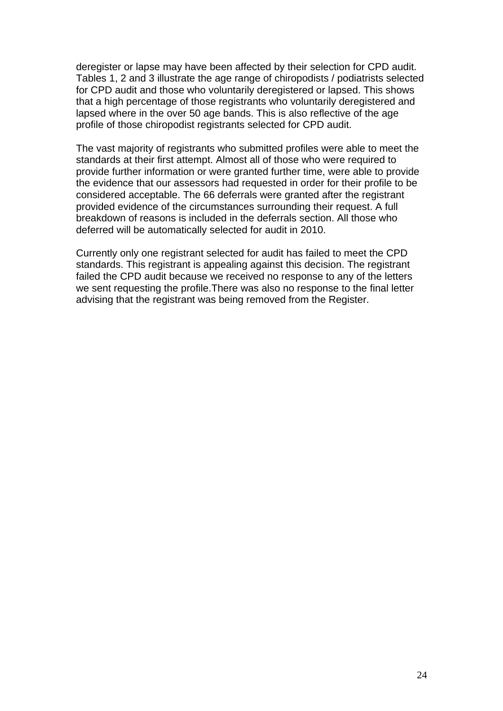deregister or lapse may have been affected by their selection for CPD audit. Tables 1, 2 and 3 illustrate the age range of chiropodists / podiatrists selected for CPD audit and those who voluntarily deregistered or lapsed. This shows that a high percentage of those registrants who voluntarily deregistered and lapsed where in the over 50 age bands. This is also reflective of the age profile of those chiropodist registrants selected for CPD audit.

The vast majority of registrants who submitted profiles were able to meet the standards at their first attempt. Almost all of those who were required to provide further information or were granted further time, were able to provide the evidence that our assessors had requested in order for their profile to be considered acceptable. The 66 deferrals were granted after the registrant provided evidence of the circumstances surrounding their request. A full breakdown of reasons is included in the deferrals section. All those who deferred will be automatically selected for audit in 2010.

Currently only one registrant selected for audit has failed to meet the CPD standards. This registrant is appealing against this decision. The registrant failed the CPD audit because we received no response to any of the letters we sent requesting the profile.There was also no response to the final letter advising that the registrant was being removed from the Register.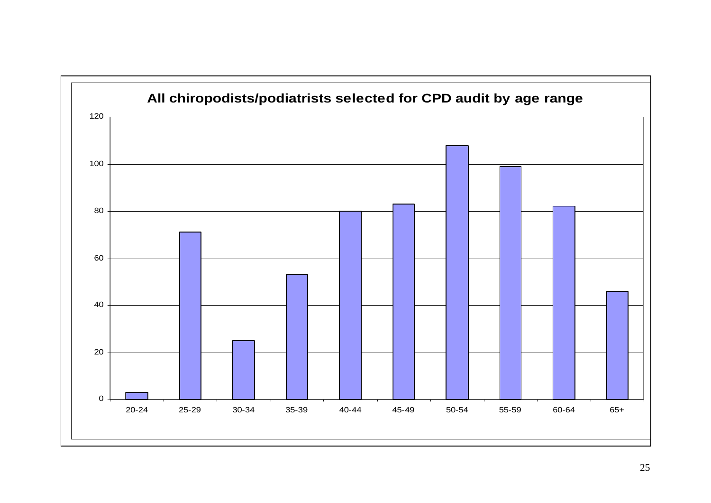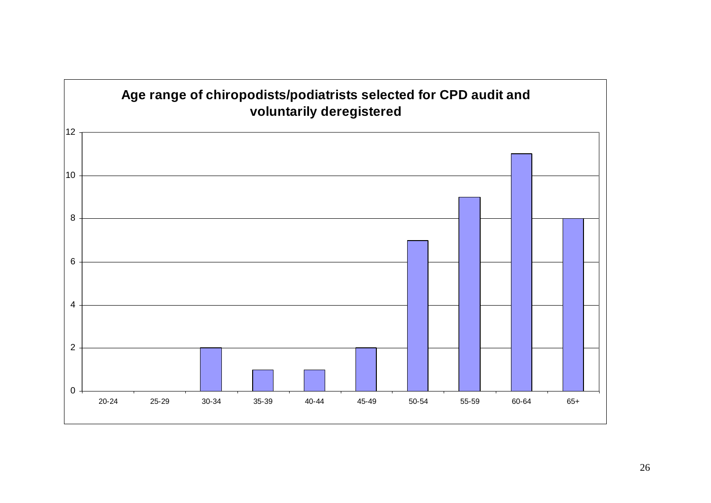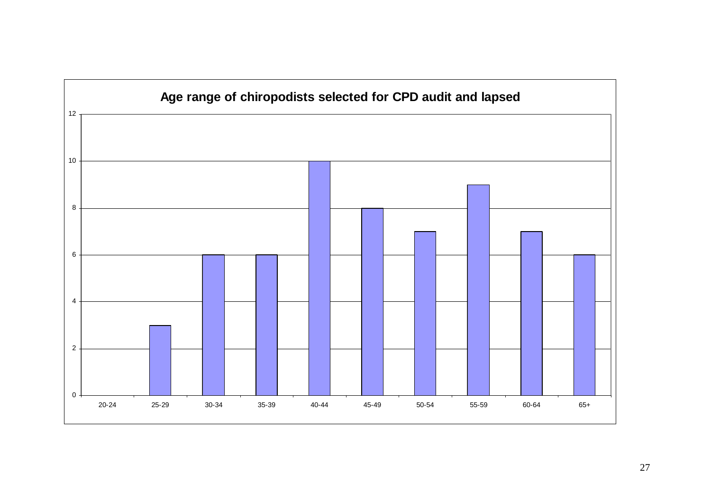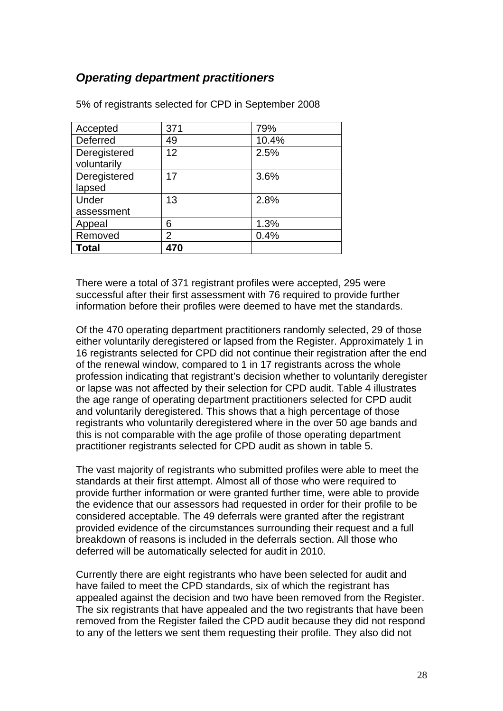## *Operating department practitioners*

| Accepted                    | 371 | 79%   |
|-----------------------------|-----|-------|
| Deferred                    | 49  | 10.4% |
| Deregistered<br>voluntarily | 12  | 2.5%  |
| Deregistered<br>lapsed      | 17  | 3.6%  |
| Under                       | 13  | 2.8%  |
| assessment                  |     |       |
| Appeal                      | 6   | 1.3%  |
| Removed                     | 2   | 0.4%  |
| <b>Total</b>                | 470 |       |

5% of registrants selected for CPD in September 2008

There were a total of 371 registrant profiles were accepted, 295 were successful after their first assessment with 76 required to provide further information before their profiles were deemed to have met the standards.

Of the 470 operating department practitioners randomly selected, 29 of those either voluntarily deregistered or lapsed from the Register. Approximately 1 in 16 registrants selected for CPD did not continue their registration after the end of the renewal window, compared to 1 in 17 registrants across the whole profession indicating that registrant's decision whether to voluntarily deregister or lapse was not affected by their selection for CPD audit. Table 4 illustrates the age range of operating department practitioners selected for CPD audit and voluntarily deregistered. This shows that a high percentage of those registrants who voluntarily deregistered where in the over 50 age bands and this is not comparable with the age profile of those operating department practitioner registrants selected for CPD audit as shown in table 5.

The vast majority of registrants who submitted profiles were able to meet the standards at their first attempt. Almost all of those who were required to provide further information or were granted further time, were able to provide the evidence that our assessors had requested in order for their profile to be considered acceptable. The 49 deferrals were granted after the registrant provided evidence of the circumstances surrounding their request and a full breakdown of reasons is included in the deferrals section. All those who deferred will be automatically selected for audit in 2010.

Currently there are eight registrants who have been selected for audit and have failed to meet the CPD standards, six of which the registrant has appealed against the decision and two have been removed from the Register. The six registrants that have appealed and the two registrants that have been removed from the Register failed the CPD audit because they did not respond to any of the letters we sent them requesting their profile. They also did not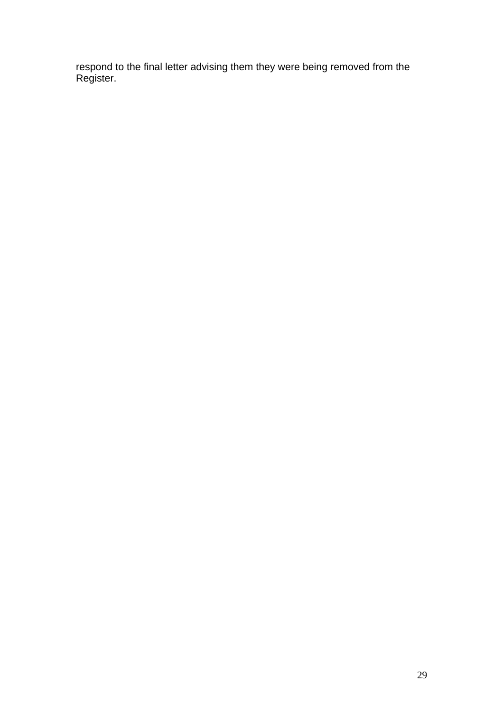respond to the final letter advising them they were being removed from the Register.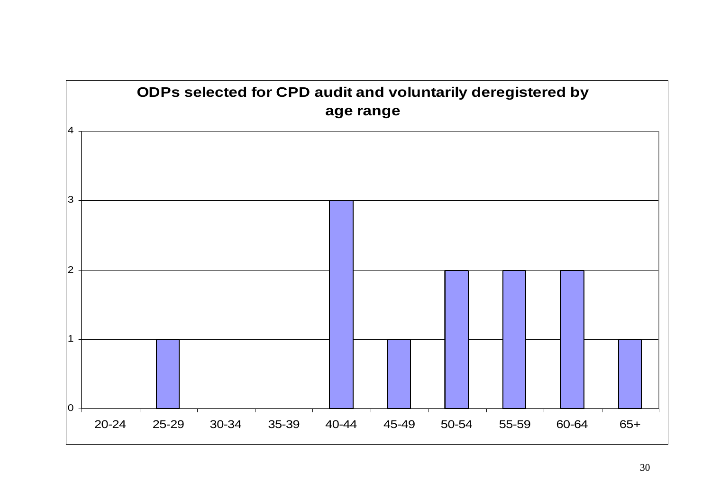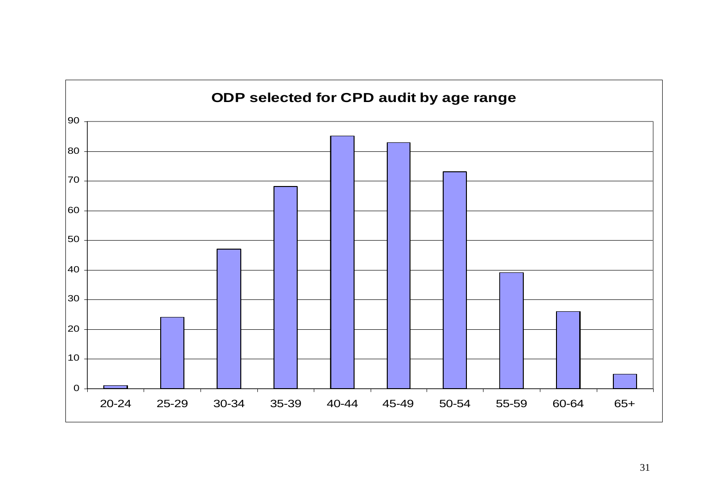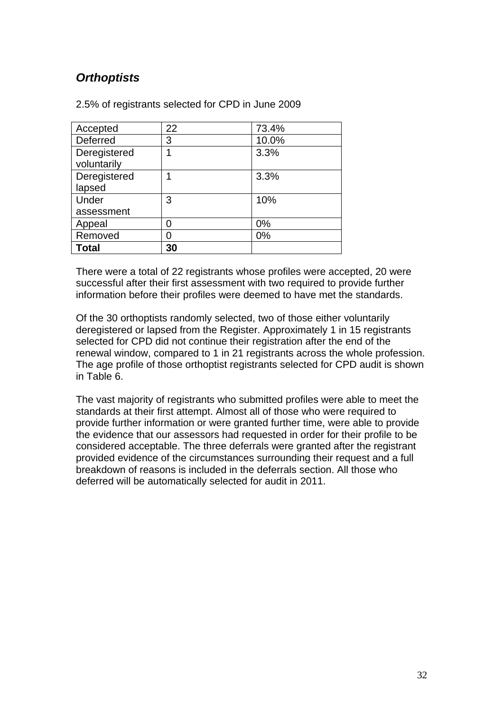# *Orthoptists*

| 2.5% of registrants selected for CPD in June 2009 |  |
|---------------------------------------------------|--|
|---------------------------------------------------|--|

| Accepted                    | 22 | 73.4% |
|-----------------------------|----|-------|
| Deferred                    | 3  | 10.0% |
| Deregistered<br>voluntarily |    | 3.3%  |
| Deregistered<br>lapsed      |    | 3.3%  |
| Under                       | 3  | 10%   |
| assessment                  |    |       |
| Appeal                      |    | 0%    |
| Removed                     |    | 0%    |
| Total                       | 30 |       |

There were a total of 22 registrants whose profiles were accepted, 20 were successful after their first assessment with two required to provide further information before their profiles were deemed to have met the standards.

Of the 30 orthoptists randomly selected, two of those either voluntarily deregistered or lapsed from the Register. Approximately 1 in 15 registrants selected for CPD did not continue their registration after the end of the renewal window, compared to 1 in 21 registrants across the whole profession. The age profile of those orthoptist registrants selected for CPD audit is shown in Table 6.

The vast majority of registrants who submitted profiles were able to meet the standards at their first attempt. Almost all of those who were required to provide further information or were granted further time, were able to provide the evidence that our assessors had requested in order for their profile to be considered acceptable. The three deferrals were granted after the registrant provided evidence of the circumstances surrounding their request and a full breakdown of reasons is included in the deferrals section. All those who deferred will be automatically selected for audit in 2011.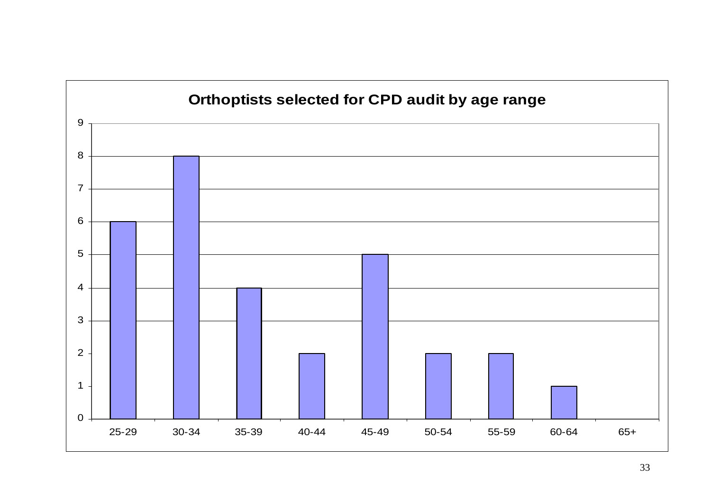

# 33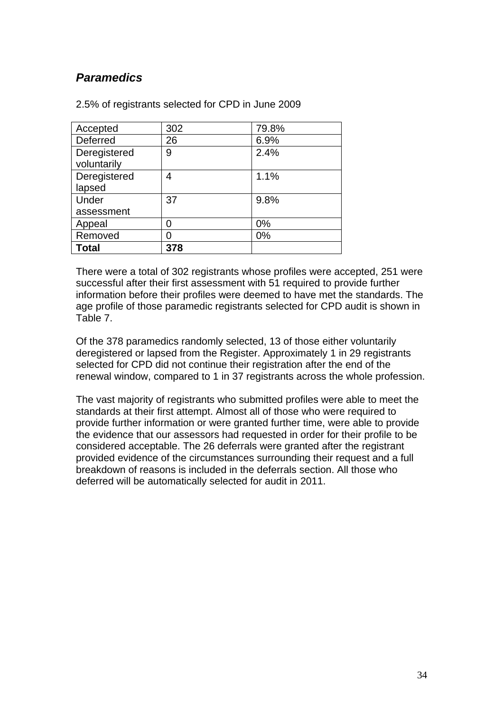## *Paramedics*

| Accepted                    | 302 | 79.8% |
|-----------------------------|-----|-------|
| Deferred                    | 26  | 6.9%  |
| Deregistered<br>voluntarily | 9   | 2.4%  |
| Deregistered<br>lapsed      | 4   | 1.1%  |
| Under                       | 37  | 9.8%  |
| assessment                  |     |       |
| Appeal                      |     | $0\%$ |
| Removed                     |     | 0%    |
| Total                       | 378 |       |

2.5% of registrants selected for CPD in June 2009

There were a total of 302 registrants whose profiles were accepted, 251 were successful after their first assessment with 51 required to provide further information before their profiles were deemed to have met the standards. The age profile of those paramedic registrants selected for CPD audit is shown in Table 7.

Of the 378 paramedics randomly selected, 13 of those either voluntarily deregistered or lapsed from the Register. Approximately 1 in 29 registrants selected for CPD did not continue their registration after the end of the renewal window, compared to 1 in 37 registrants across the whole profession.

The vast majority of registrants who submitted profiles were able to meet the standards at their first attempt. Almost all of those who were required to provide further information or were granted further time, were able to provide the evidence that our assessors had requested in order for their profile to be considered acceptable. The 26 deferrals were granted after the registrant provided evidence of the circumstances surrounding their request and a full breakdown of reasons is included in the deferrals section. All those who deferred will be automatically selected for audit in 2011.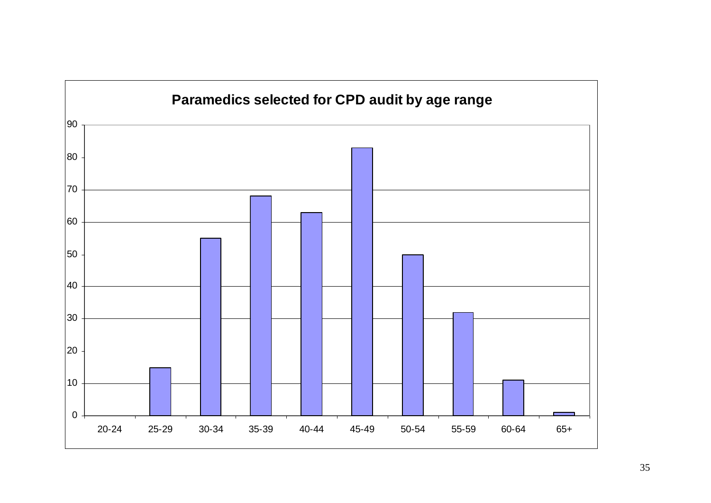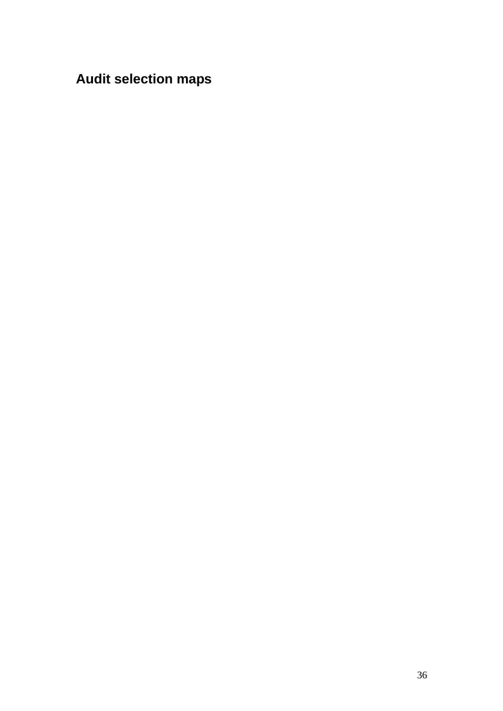# **Audit selection maps**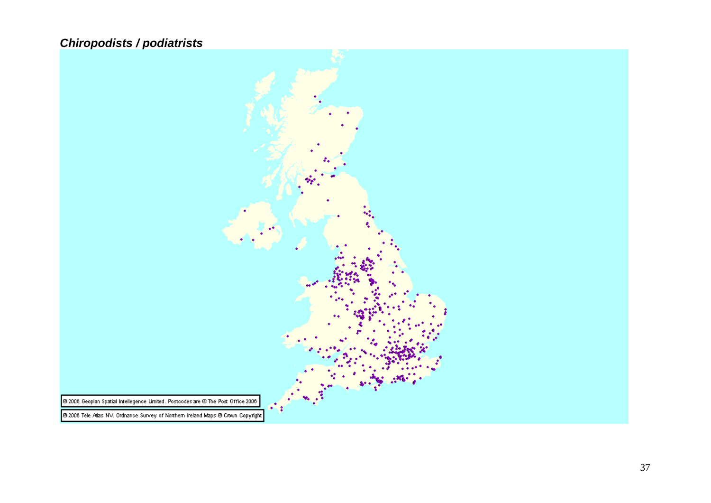# *Chiropodists / podiatrists*

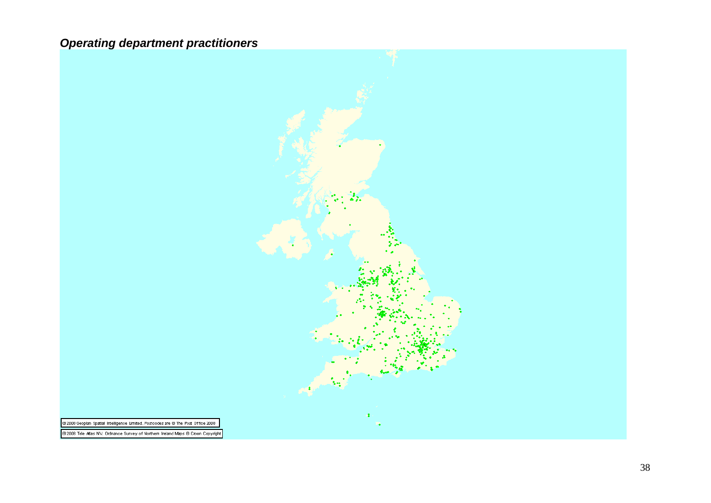# *Operating department practitioners*

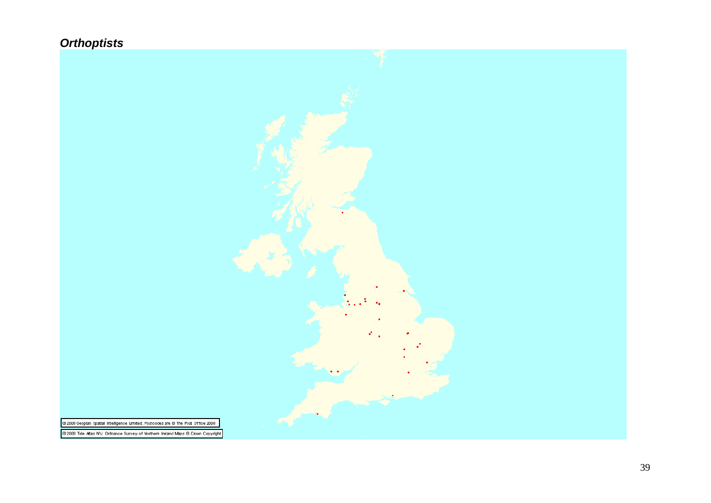# *Orthoptists*

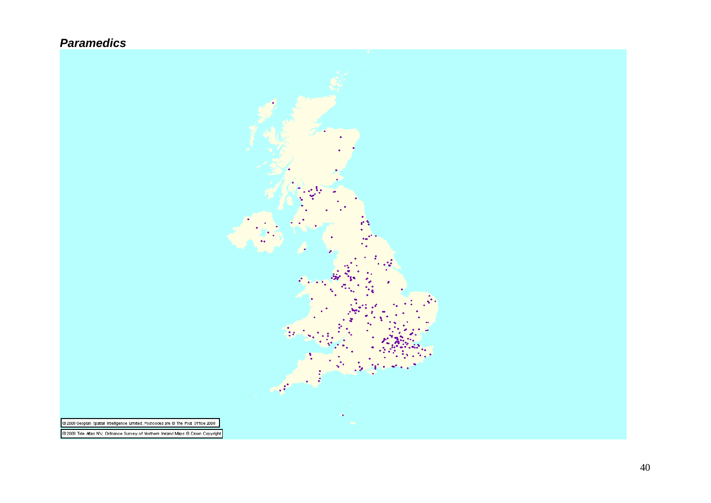## *Paramedics*

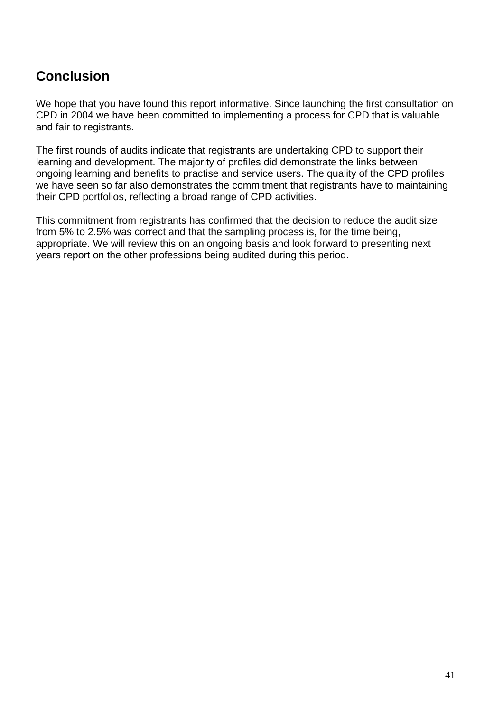# **Conclusion**

We hope that you have found this report informative. Since launching the first consultation on CPD in 2004 we have been committed to implementing a process for CPD that is valuable and fair to registrants.

The first rounds of audits indicate that registrants are undertaking CPD to support their learning and development. The majority of profiles did demonstrate the links between ongoing learning and benefits to practise and service users. The quality of the CPD profiles we have seen so far also demonstrates the commitment that registrants have to maintaining their CPD portfolios, reflecting a broad range of CPD activities.

This commitment from registrants has confirmed that the decision to reduce the audit size from 5% to 2.5% was correct and that the sampling process is, for the time being, appropriate. We will review this on an ongoing basis and look forward to presenting next years report on the other professions being audited during this period.